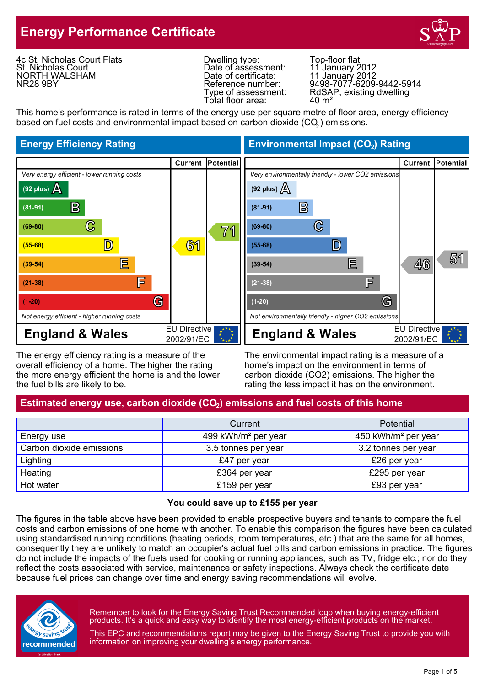# **Energy Performance Certificate**



4c St. Nicholas Court Flats St. Nicholas Court NORTH WALSHAM NR28 9BY

Dwelling type: Top-floor flat Date of assessment:<br>Date of certificate: Date of assessment: 11 January 2012<br>Date of certificate: 11 January 2012<br>Reference number: 9498-7077-6209-Total floor area:

Reference number: 9498-7077-6209-9442-5914 Type of assessment: RdSAP, existing dwelling<br>Total floor area: 40 m<sup>2</sup>

This home's performance is rated in terms of the energy use per square metre of floor area, energy efficiency based on fuel costs and environmental impact based on carbon dioxide (CO $_{\rm 2}$ ) emissions.



The energy efficiency rating is a measure of the The environmental impact rating is a measure of a overall efficiency of a home. The higher the rating home's impact on the environment in terms of the more energy efficient the home is and the lower carbon dioxide (CO2) emissions. The higher the the fuel bills are likely to be. The rating the less impact it has on the environment.

# Estimated energy use, carbon dioxide (CO<sub>2</sub>) emissions and fuel costs of this home

|                          | Current                         | <b>Potential</b>                |
|--------------------------|---------------------------------|---------------------------------|
| Energy use               | 499 kWh/m <sup>2</sup> per year | 450 kWh/m <sup>2</sup> per year |
| Carbon dioxide emissions | 3.5 tonnes per year             | 3.2 tonnes per year             |
| Lighting                 | £47 per year                    | £26 per year                    |
| Heating                  | £364 per year                   | £295 per year                   |
| Hot water                | £159 per year                   | £93 per year                    |

#### **You could save up to £155 per year**

The figures in the table above have been provided to enable prospective buyers and tenants to compare the fuel costs and carbon emissions of one home with another. To enable this comparison the figures have been calculated using standardised running conditions (heating periods, room temperatures, etc.) that are the same for all homes, consequently they are unlikely to match an occupier's actual fuel bills and carbon emissions in practice. The figures do not include the impacts of the fuels used for cooking or running appliances, such as TV, fridge etc.; nor do they reflect the costs associated with service, maintenance or safety inspections. Always check the certificate date because fuel prices can change over time and energy saving recommendations will evolve.



Remember to look for the Energy Saving Trust Recommended logo when buying energy-efficient products. It's a quick and easy way to identify the most energy-efficient products on the market.

This EPC and recommendations report may be given to the Energy Saving Trust to provide you with information on improving your dwelling's energy performance.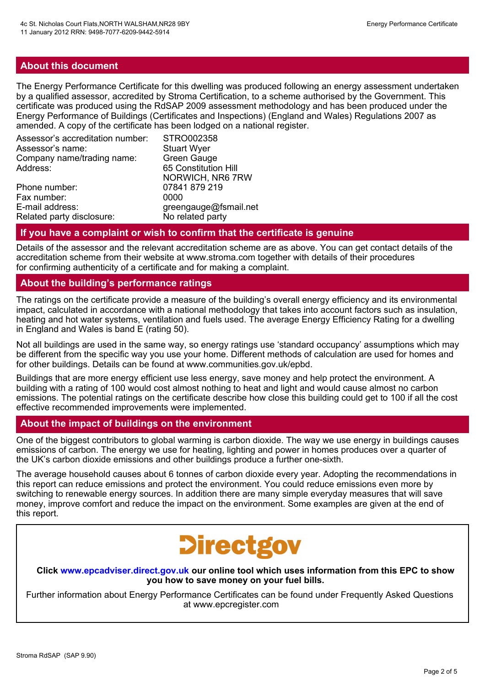## **About this document**

The Energy Performance Certificate for this dwelling was produced following an energy assessment undertaken by a qualified assessor, accredited by Stroma Certification, to a scheme authorised by the Government. This certificate was produced using the RdSAP 2009 assessment methodology and has been produced under the Energy Performance of Buildings (Certificates and Inspections) (England and Wales) Regulations 2007 as amended. A copy of the certificate has been lodged on a national register.

| Assessor's accreditation number: | STRO002358            |
|----------------------------------|-----------------------|
| Assessor's name:                 | <b>Stuart Wyer</b>    |
| Company name/trading name:       | Green Gauge           |
| Address:                         | 65 Constitution Hill  |
|                                  | NORWICH, NR6 7RW      |
| Phone number:                    | 07841 879 219         |
| Fax number:                      | 0000                  |
| E-mail address:                  | greengauge@fsmail.net |
| Related party disclosure:        | No related party      |

#### **If you have a complaint or wish to confirm that the certificate is genuine**

Details of the assessor and the relevant accreditation scheme are as above. You can get contact details of the accreditation scheme from their website at www.stroma.com together with details of their procedures for confirming authenticity of a certificate and for making a complaint.

#### **About the building's performance ratings**

The ratings on the certificate provide a measure of the building's overall energy efficiency and its environmental impact, calculated in accordance with a national methodology that takes into account factors such as insulation, heating and hot water systems, ventilation and fuels used. The average Energy Efficiency Rating for a dwelling in England and Wales is band E (rating 50).

Not all buildings are used in the same way, so energy ratings use 'standard occupancy' assumptions which may be different from the specific way you use your home. Different methods of calculation are used for homes and for other buildings. Details can be found at www.communities.gov.uk/epbd.

Buildings that are more energy efficient use less energy, save money and help protect the environment. A building with a rating of 100 would cost almost nothing to heat and light and would cause almost no carbon emissions. The potential ratings on the certificate describe how close this building could get to 100 if all the cost effective recommended improvements were implemented.

#### **About the impact of buildings on the environment**

One of the biggest contributors to global warming is carbon dioxide. The way we use energy in buildings causes emissions of carbon. The energy we use for heating, lighting and power in homes produces over a quarter of the UK's carbon dioxide emissions and other buildings produce a further one-sixth.

The average household causes about 6 tonnes of carbon dioxide every year. Adopting the recommendations in this report can reduce emissions and protect the environment. You could reduce emissions even more by switching to renewable energy sources. In addition there are many simple everyday measures that will save money, improve comfort and reduce the impact on the environment. Some examples are given at the end of this report.

# **Directgov**

**Click www.epcadviser.direct.gov.uk our online tool which uses information from this EPC to show you how to save money on your fuel bills.**

Further information about Energy Performance Certificates can be found under Frequently Asked Questions at www.epcregister.com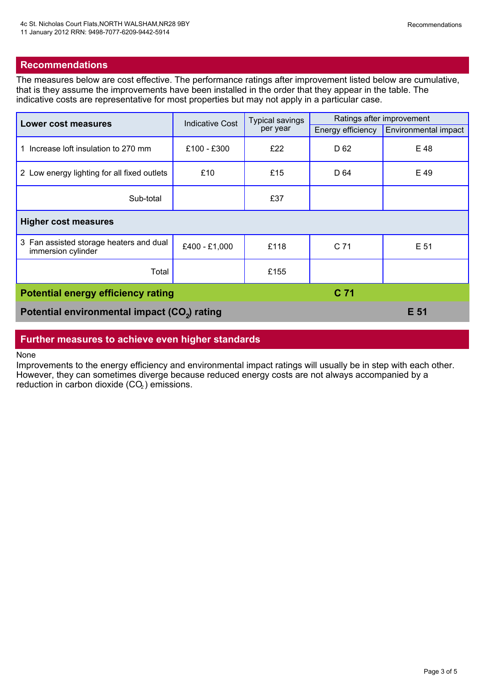## **Recommendations**

The measures below are cost effective. The performance ratings after improvement listed below are cumulative, that is they assume the improvements have been installed in the order that they appear in the table. The indicative costs are representative for most properties but may not apply in a particular case.

| Lower cost measures                                           | <b>Indicative Cost</b> | <b>Typical savings</b><br>per year | Ratings after improvement |                             |
|---------------------------------------------------------------|------------------------|------------------------------------|---------------------------|-----------------------------|
|                                                               |                        |                                    | Energy efficiency         | <b>Environmental impact</b> |
| 1 Increase loft insulation to 270 mm                          | £100 - £300            | £22                                | D 62                      | E 48                        |
| 2 Low energy lighting for all fixed outlets                   | £10                    | £15                                | D 64                      | E 49                        |
| Sub-total                                                     |                        | £37                                |                           |                             |
| <b>Higher cost measures</b>                                   |                        |                                    |                           |                             |
| 3 Fan assisted storage heaters and dual<br>immersion cylinder | £400 - £1,000          | £118                               | C 71                      | E 51                        |
| Total                                                         |                        | £155                               |                           |                             |
| C 71<br><b>Potential energy efficiency rating</b>             |                        |                                    |                           |                             |
| Potential environmental impact (CO <sub>2</sub> ) rating      |                        |                                    |                           | E 51                        |

# **Further measures to achieve even higher standards**

None

Improvements to the energy efficiency and environmental impact ratings will usually be in step with each other. However, they can sometimes diverge because reduced energy costs are not always accompanied by a reduction in carbon dioxide  $(CO<sub>2</sub>)$  emissions.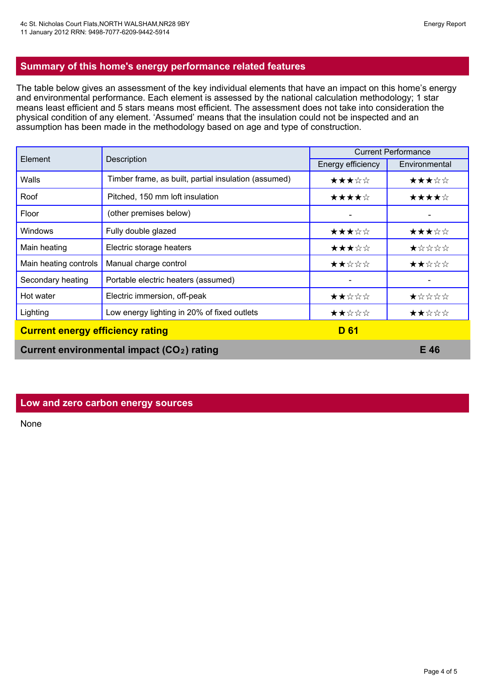## **Summary of this home's energy performance related features**

The table below gives an assessment of the key individual elements that have an impact on this home's energy and environmental performance. Each element is assessed by the national calculation methodology; 1 star means least efficient and 5 stars means most efficient. The assessment does not take into consideration the physical condition of any element. 'Assumed' means that the insulation could not be inspected and an assumption has been made in the methodology based on age and type of construction.

| Element                                 | Description                                            | <b>Current Performance</b> |               |
|-----------------------------------------|--------------------------------------------------------|----------------------------|---------------|
|                                         |                                                        | Energy efficiency          | Environmental |
| Walls                                   | Timber frame, as built, partial insulation (assumed)   | ★★★☆☆                      | ★★★☆☆         |
| Roof                                    | Pitched, 150 mm loft insulation                        | ★★★★☆                      | ★★★★☆         |
| Floor                                   | (other premises below)                                 |                            |               |
| <b>Windows</b>                          | Fully double glazed                                    | ★★★☆☆                      | ★★★☆☆         |
| Main heating                            | Electric storage heaters                               | ★★★☆☆                      | ★☆☆☆☆         |
| Main heating controls                   | Manual charge control                                  | ★★☆☆☆                      | ★★☆☆☆         |
| Secondary heating                       | Portable electric heaters (assumed)                    |                            |               |
| Hot water                               | Electric immersion, off-peak                           | ★★☆☆☆                      | ★☆☆☆☆         |
| Lighting                                | Low energy lighting in 20% of fixed outlets            | ★★☆☆☆                      | ★★☆☆☆         |
| <b>Current energy efficiency rating</b> |                                                        | <b>D</b> 61                |               |
|                                         | Current environmental impact (CO <sub>2</sub> ) rating |                            | E 46          |

#### **Low and zero carbon energy sources**

None